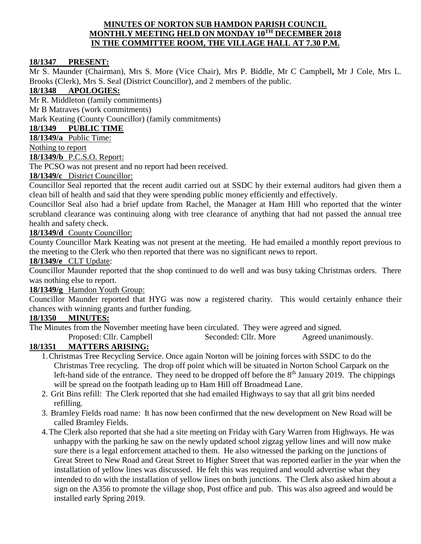#### **MINUTES OF NORTON SUB HAMDON PARISH COUNCIL MONTHLY MEETING HELD ON MONDAY 10TH DECEMBER 2018 IN THE COMMITTEE ROOM, THE VILLAGE HALL AT 7.30 P.M.**

## **18/1347 PRESENT:**

Mr S. Maunder (Chairman), Mrs S. More (Vice Chair), Mrs P. Biddle, Mr C Campbell**,** Mr J Cole, Mrs L. Brooks (Clerk), Mrs S. Seal (District Councillor), and 2 members of the public.

# **18/1348 APOLOGIES:**

Mr R. Middleton (family commitments)

Mr B Matraves (work commitments)

Mark Keating (County Councillor) (family commitments)

## **18/1349 PUBLIC TIME**

**18/1349/a** Public Time:

Nothing to report

## **18/1349/b** P.C.S.O. Report:

The PCSO was not present and no report had been received.

## **18/1349/c** District Councillor:

Councillor Seal reported that the recent audit carried out at SSDC by their external auditors had given them a clean bill of health and said that they were spending public money efficiently and effectively.

Councillor Seal also had a brief update from Rachel, the Manager at Ham Hill who reported that the winter scrubland clearance was continuing along with tree clearance of anything that had not passed the annual tree health and safety check.

## **18/1349/d** County Councillor:

County Councillor Mark Keating was not present at the meeting. He had emailed a monthly report previous to the meeting to the Clerk who then reported that there was no significant news to report.

#### **18/1349/e** CLT Update:

Councillor Maunder reported that the shop continued to do well and was busy taking Christmas orders. There was nothing else to report.

## **18/1349/g** Hamdon Youth Group:

Councillor Maunder reported that HYG was now a registered charity. This would certainly enhance their chances with winning grants and further funding.

#### **18/1350 MINUTES:**

The Minutes from the November meeting have been circulated. They were agreed and signed.

Proposed: Cllr. Campbell Seconded: Cllr. More Agreed unanimously.

## **18/1351 MATTERS ARISING:**

- 1.Christmas Tree Recycling Service. Once again Norton will be joining forces with SSDC to do the Christmas Tree recycling. The drop off point which will be situated in Norton School Carpark on the left-hand side of the entrance. They need to be dropped off before the  $8<sup>th</sup>$  January 2019. The chippings will be spread on the footpath leading up to Ham Hill off Broadmead Lane.
- 2. Grit Bins refill: The Clerk reported that she had emailed Highways to say that all grit bins needed refilling.
- 3. Bramley Fields road name: It has now been confirmed that the new development on New Road will be called Bramley Fields.
- 4.The Clerk also reported that she had a site meeting on Friday with Gary Warren from Highways. He was unhappy with the parking he saw on the newly updated school zigzag yellow lines and will now make sure there is a legal enforcement attached to them. He also witnessed the parking on the junctions of Great Street to New Road and Great Street to Higher Street that was reported earlier in the year when the installation of yellow lines was discussed. He felt this was required and would advertise what they intended to do with the installation of yellow lines on both junctions. The Clerk also asked him about a sign on the A356 to promote the village shop, Post office and pub. This was also agreed and would be installed early Spring 2019.